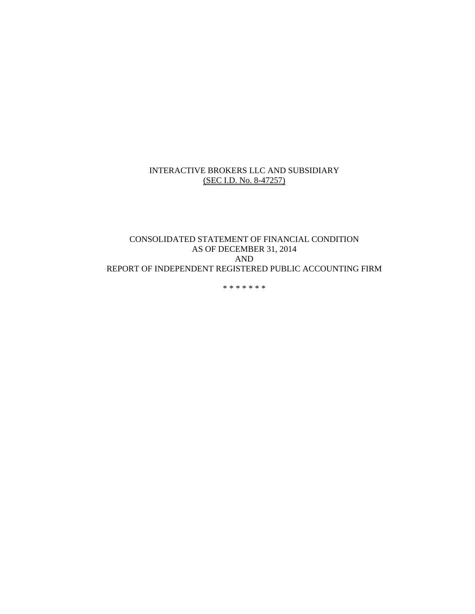#### INTERACTIVE BROKERS LLC AND SUBSIDIARY (SEC I.D. No. 8-47257)

## CONSOLIDATED STATEMENT OF FINANCIAL CONDITION AS OF DECEMBER 31, 2014 AND REPORT OF INDEPENDENT REGISTERED PUBLIC ACCOUNTING FIRM

\* \* \* \* \* \* \*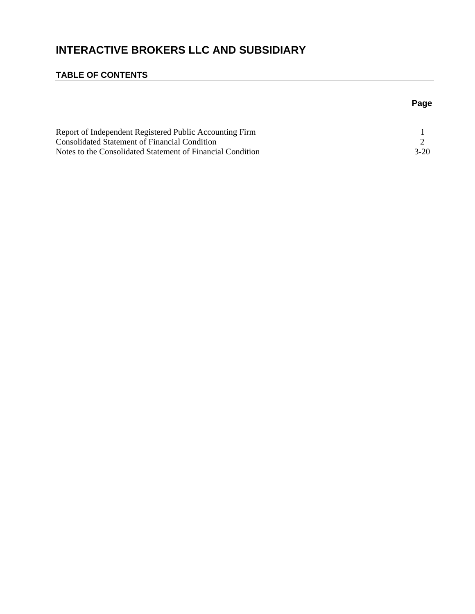# **INTERACTIVE BROKERS LLC AND SUBSIDIARY**

# **TABLE OF CONTENTS**

# **Page**

| Report of Independent Registered Public Accounting Firm    |        |
|------------------------------------------------------------|--------|
| Consolidated Statement of Financial Condition              |        |
| Notes to the Consolidated Statement of Financial Condition | $3-20$ |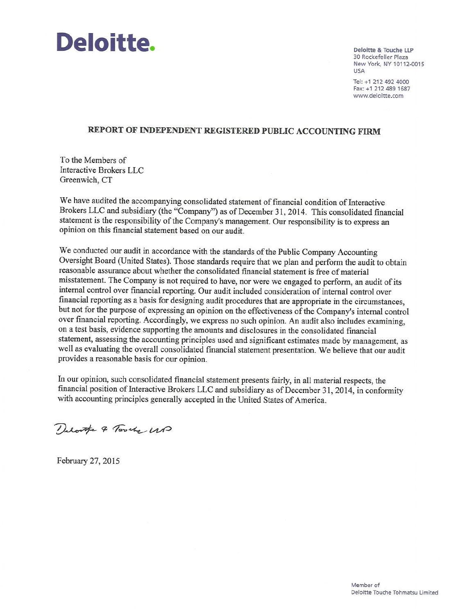

Deloitte & Touche LLP 30 Rockefeller Plaza New York, NY 10112-0015 **USA** 

Tel: +1 212 492 4000 Fax: +1 212 489 1687 www.deloitte.com

#### REPORT OF INDEPENDENT REGISTERED PUBLIC ACCOUNTING FIRM

To the Members of Interactive Brokers LLC Greenwich, CT

We have audited the accompanying consolidated statement of financial condition of Interactive Brokers LLC and subsidiary (the "Company") as of December 31, 2014. This consolidated financial statement is the responsibility of the Company's management. Our responsibility is to express an opinion on this financial statement based on our audit.

We conducted our audit in accordance with the standards of the Public Company Accounting Oversight Board (United States). Those standards require that we plan and perform the audit to obtain reasonable assurance about whether the consolidated financial statement is free of material misstatement. The Company is not required to have, nor were we engaged to perform, an audit of its internal control over financial reporting. Our audit included consideration of internal control over financial reporting as a basis for designing audit procedures that are appropriate in the circumstances, but not for the purpose of expressing an opinion on the effectiveness of the Company's internal control over financial reporting. Accordingly, we express no such opinion. An audit also includes examining, on a test basis, evidence supporting the amounts and disclosures in the consolidated financial statement, assessing the accounting principles used and significant estimates made by management, as well as evaluating the overall consolidated financial statement presentation. We believe that our audit provides a reasonable basis for our opinion.

In our opinion, such consolidated financial statement presents fairly, in all material respects, the financial position of Interactive Brokers LLC and subsidiary as of December 31, 2014, in conformity with accounting principles generally accepted in the United States of America.

Delotte & Torche UB

February 27, 2015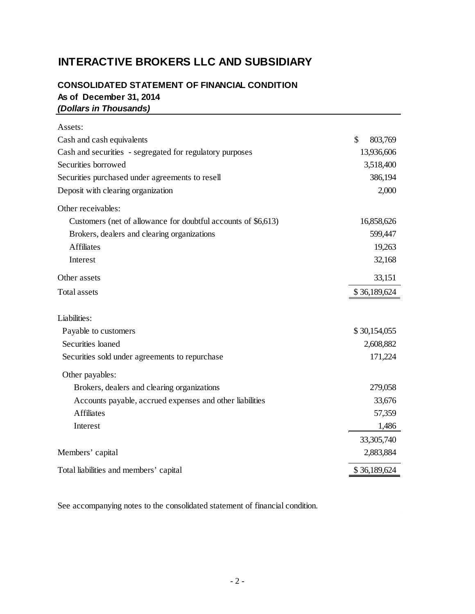# **INTERACTIVE BROKERS LLC AND SUBSIDIARY**

# **CONSOLIDATED STATEMENT OF FINANCIAL CONDITION As of December 31, 2014** *(Dollars in Thousands)*

| Assets:                                                       |               |
|---------------------------------------------------------------|---------------|
| Cash and cash equivalents                                     | \$<br>803,769 |
| Cash and securities - segregated for regulatory purposes      | 13,936,606    |
| Securities borrowed                                           | 3,518,400     |
| Securities purchased under agreements to resell               | 386,194       |
| Deposit with clearing organization                            | 2,000         |
| Other receivables:                                            |               |
| Customers (net of allowance for doubtful accounts of \$6,613) | 16,858,626    |
| Brokers, dealers and clearing organizations                   | 599,447       |
| <b>Affiliates</b>                                             | 19,263        |
| Interest                                                      | 32,168        |
| Other assets                                                  | 33,151        |
| <b>Total assets</b>                                           | \$36,189,624  |
| Liabilities:                                                  |               |
| Payable to customers                                          | \$30,154,055  |
| Securities loaned                                             | 2,608,882     |
| Securities sold under agreements to repurchase                | 171,224       |
| Other payables:                                               |               |
| Brokers, dealers and clearing organizations                   | 279,058       |
| Accounts payable, accrued expenses and other liabilities      | 33,676        |
| <b>Affiliates</b>                                             | 57,359        |
| Interest                                                      | 1,486         |
|                                                               | 33,305,740    |
| Members' capital                                              | 2,883,884     |
| Total liabilities and members' capital                        | \$36,189,624  |

See accompanying notes to the consolidated statement of financial condition.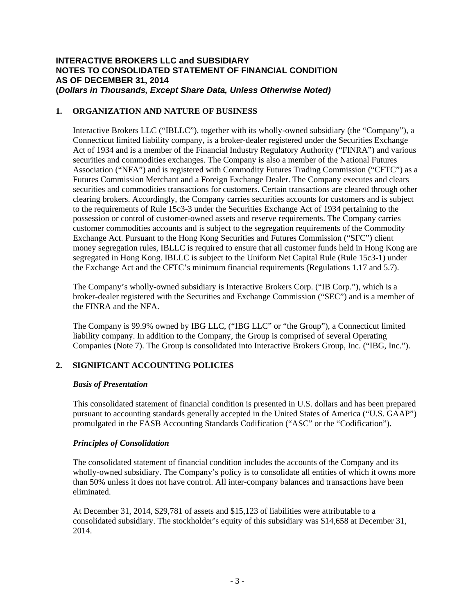## **1. ORGANIZATION AND NATURE OF BUSINESS**

Interactive Brokers LLC ("IBLLC"), together with its wholly-owned subsidiary (the "Company"), a Connecticut limited liability company, is a broker-dealer registered under the Securities Exchange Act of 1934 and is a member of the Financial Industry Regulatory Authority ("FINRA") and various securities and commodities exchanges. The Company is also a member of the National Futures Association ("NFA") and is registered with Commodity Futures Trading Commission ("CFTC") as a Futures Commission Merchant and a Foreign Exchange Dealer. The Company executes and clears securities and commodities transactions for customers. Certain transactions are cleared through other clearing brokers. Accordingly, the Company carries securities accounts for customers and is subject to the requirements of Rule 15c3-3 under the Securities Exchange Act of 1934 pertaining to the possession or control of customer-owned assets and reserve requirements. The Company carries customer commodities accounts and is subject to the segregation requirements of the Commodity Exchange Act. Pursuant to the Hong Kong Securities and Futures Commission ("SFC") client money segregation rules, IBLLC is required to ensure that all customer funds held in Hong Kong are segregated in Hong Kong. IBLLC is subject to the Uniform Net Capital Rule (Rule 15c3-1) under the Exchange Act and the CFTC's minimum financial requirements (Regulations 1.17 and 5.7).

The Company's wholly-owned subsidiary is Interactive Brokers Corp. ("IB Corp."), which is a broker-dealer registered with the Securities and Exchange Commission ("SEC") and is a member of the FINRA and the NFA.

The Company is 99.9% owned by IBG LLC, ("IBG LLC" or "the Group"), a Connecticut limited liability company. In addition to the Company, the Group is comprised of several Operating Companies (Note 7). The Group is consolidated into Interactive Brokers Group, Inc. ("IBG, Inc.").

## **2. SIGNIFICANT ACCOUNTING POLICIES**

#### *Basis of Presentation*

This consolidated statement of financial condition is presented in U.S. dollars and has been prepared pursuant to accounting standards generally accepted in the United States of America ("U.S. GAAP") promulgated in the FASB Accounting Standards Codification ("ASC" or the "Codification").

## *Principles of Consolidation*

The consolidated statement of financial condition includes the accounts of the Company and its wholly-owned subsidiary. The Company's policy is to consolidate all entities of which it owns more than 50% unless it does not have control. All inter-company balances and transactions have been eliminated.

At December 31, 2014, \$29,781 of assets and \$15,123 of liabilities were attributable to a consolidated subsidiary. The stockholder's equity of this subsidiary was \$14,658 at December 31, 2014.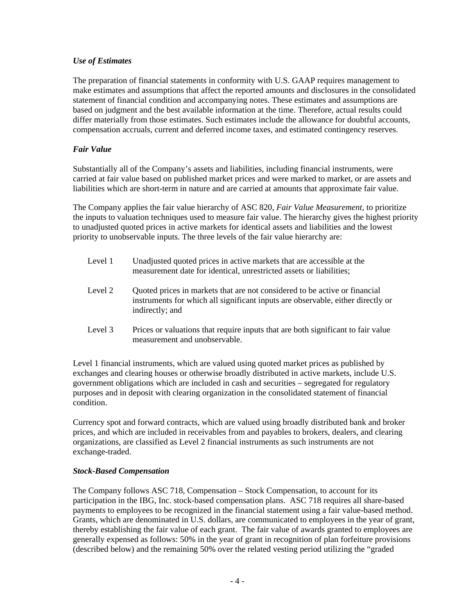## *Use of Estimates*

The preparation of financial statements in conformity with U.S. GAAP requires management to make estimates and assumptions that affect the reported amounts and disclosures in the consolidated statement of financial condition and accompanying notes. These estimates and assumptions are based on judgment and the best available information at the time. Therefore, actual results could differ materially from those estimates. Such estimates include the allowance for doubtful accounts, compensation accruals, current and deferred income taxes, and estimated contingency reserves.

## *Fair Value*

Substantially all of the Company's assets and liabilities, including financial instruments, were carried at fair value based on published market prices and were marked to market, or are assets and liabilities which are short-term in nature and are carried at amounts that approximate fair value.

The Company applies the fair value hierarchy of ASC 820, *Fair Value Measurement*, to prioritize the inputs to valuation techniques used to measure fair value. The hierarchy gives the highest priority to unadjusted quoted prices in active markets for identical assets and liabilities and the lowest priority to unobservable inputs. The three levels of the fair value hierarchy are:

| Level 1 | Unadjusted quoted prices in active markets that are accessible at the |
|---------|-----------------------------------------------------------------------|
|         | measurement date for identical, unrestricted assets or liabilities;   |

- Level 2 Quoted prices in markets that are not considered to be active or financial instruments for which all significant inputs are observable, either directly or indirectly; and
- Level 3 Prices or valuations that require inputs that are both significant to fair value measurement and unobservable.

Level 1 financial instruments, which are valued using quoted market prices as published by exchanges and clearing houses or otherwise broadly distributed in active markets, include U.S. government obligations which are included in cash and securities – segregated for regulatory purposes and in deposit with clearing organization in the consolidated statement of financial condition.

Currency spot and forward contracts, which are valued using broadly distributed bank and broker prices, and which are included in receivables from and payables to brokers, dealers, and clearing organizations, are classified as Level 2 financial instruments as such instruments are not exchange-traded.

#### *Stock-Based Compensation*

The Company follows ASC 718, Compensation – Stock Compensation, to account for its participation in the IBG, Inc. stock-based compensation plans. ASC 718 requires all share-based payments to employees to be recognized in the financial statement using a fair value-based method. Grants, which are denominated in U.S. dollars, are communicated to employees in the year of grant, thereby establishing the fair value of each grant. The fair value of awards granted to employees are generally expensed as follows: 50% in the year of grant in recognition of plan forfeiture provisions (described below) and the remaining 50% over the related vesting period utilizing the "graded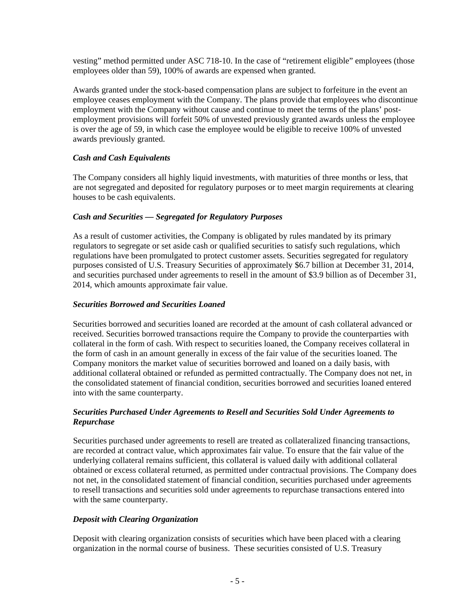vesting" method permitted under ASC 718-10. In the case of "retirement eligible" employees (those employees older than 59), 100% of awards are expensed when granted.

Awards granted under the stock-based compensation plans are subject to forfeiture in the event an employee ceases employment with the Company. The plans provide that employees who discontinue employment with the Company without cause and continue to meet the terms of the plans' postemployment provisions will forfeit 50% of unvested previously granted awards unless the employee is over the age of 59, in which case the employee would be eligible to receive 100% of unvested awards previously granted.

## *Cash and Cash Equivalents*

The Company considers all highly liquid investments, with maturities of three months or less, that are not segregated and deposited for regulatory purposes or to meet margin requirements at clearing houses to be cash equivalents.

### *Cash and Securities — Segregated for Regulatory Purposes*

As a result of customer activities, the Company is obligated by rules mandated by its primary regulators to segregate or set aside cash or qualified securities to satisfy such regulations, which regulations have been promulgated to protect customer assets. Securities segregated for regulatory purposes consisted of U.S. Treasury Securities of approximately \$6.7 billion at December 31, 2014, and securities purchased under agreements to resell in the amount of \$3.9 billion as of December 31, 2014, which amounts approximate fair value.

## *Securities Borrowed and Securities Loaned*

Securities borrowed and securities loaned are recorded at the amount of cash collateral advanced or received. Securities borrowed transactions require the Company to provide the counterparties with collateral in the form of cash. With respect to securities loaned, the Company receives collateral in the form of cash in an amount generally in excess of the fair value of the securities loaned. The Company monitors the market value of securities borrowed and loaned on a daily basis, with additional collateral obtained or refunded as permitted contractually. The Company does not net, in the consolidated statement of financial condition, securities borrowed and securities loaned entered into with the same counterparty.

### *Securities Purchased Under Agreements to Resell and Securities Sold Under Agreements to Repurchase*

Securities purchased under agreements to resell are treated as collateralized financing transactions, are recorded at contract value, which approximates fair value. To ensure that the fair value of the underlying collateral remains sufficient, this collateral is valued daily with additional collateral obtained or excess collateral returned, as permitted under contractual provisions. The Company does not net, in the consolidated statement of financial condition, securities purchased under agreements to resell transactions and securities sold under agreements to repurchase transactions entered into with the same counterparty.

#### *Deposit with Clearing Organization*

Deposit with clearing organization consists of securities which have been placed with a clearing organization in the normal course of business. These securities consisted of U.S. Treasury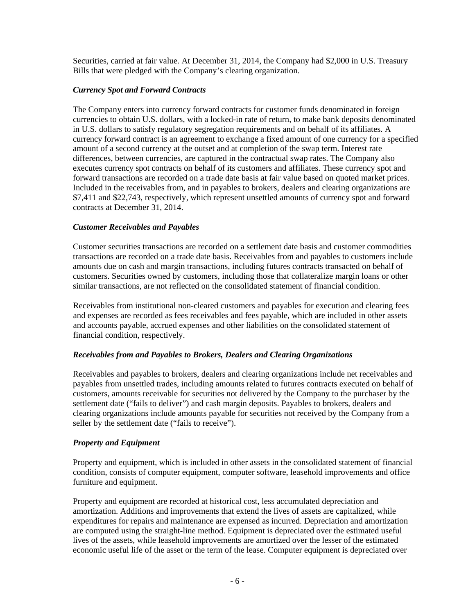Securities, carried at fair value. At December 31, 2014, the Company had \$2,000 in U.S. Treasury Bills that were pledged with the Company's clearing organization.

### *Currency Spot and Forward Contracts*

The Company enters into currency forward contracts for customer funds denominated in foreign currencies to obtain U.S. dollars, with a locked-in rate of return, to make bank deposits denominated in U.S. dollars to satisfy regulatory segregation requirements and on behalf of its affiliates. A currency forward contract is an agreement to exchange a fixed amount of one currency for a specified amount of a second currency at the outset and at completion of the swap term. Interest rate differences, between currencies, are captured in the contractual swap rates. The Company also executes currency spot contracts on behalf of its customers and affiliates. These currency spot and forward transactions are recorded on a trade date basis at fair value based on quoted market prices. Included in the receivables from, and in payables to brokers, dealers and clearing organizations are \$7,411 and \$22,743, respectively, which represent unsettled amounts of currency spot and forward contracts at December 31, 2014.

### *Customer Receivables and Payables*

Customer securities transactions are recorded on a settlement date basis and customer commodities transactions are recorded on a trade date basis. Receivables from and payables to customers include amounts due on cash and margin transactions, including futures contracts transacted on behalf of customers. Securities owned by customers, including those that collateralize margin loans or other similar transactions, are not reflected on the consolidated statement of financial condition.

Receivables from institutional non-cleared customers and payables for execution and clearing fees and expenses are recorded as fees receivables and fees payable, which are included in other assets and accounts payable, accrued expenses and other liabilities on the consolidated statement of financial condition, respectively.

#### *Receivables from and Payables to Brokers, Dealers and Clearing Organizations*

Receivables and payables to brokers, dealers and clearing organizations include net receivables and payables from unsettled trades, including amounts related to futures contracts executed on behalf of customers, amounts receivable for securities not delivered by the Company to the purchaser by the settlement date ("fails to deliver") and cash margin deposits. Payables to brokers, dealers and clearing organizations include amounts payable for securities not received by the Company from a seller by the settlement date ("fails to receive").

#### *Property and Equipment*

Property and equipment, which is included in other assets in the consolidated statement of financial condition, consists of computer equipment, computer software, leasehold improvements and office furniture and equipment.

Property and equipment are recorded at historical cost, less accumulated depreciation and amortization. Additions and improvements that extend the lives of assets are capitalized, while expenditures for repairs and maintenance are expensed as incurred. Depreciation and amortization are computed using the straight-line method. Equipment is depreciated over the estimated useful lives of the assets, while leasehold improvements are amortized over the lesser of the estimated economic useful life of the asset or the term of the lease. Computer equipment is depreciated over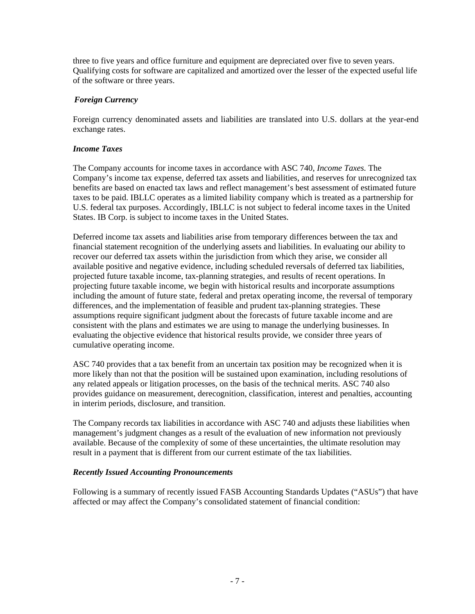three to five years and office furniture and equipment are depreciated over five to seven years. Qualifying costs for software are capitalized and amortized over the lesser of the expected useful life of the software or three years.

## *Foreign Currency*

Foreign currency denominated assets and liabilities are translated into U.S. dollars at the year-end exchange rates.

#### *Income Taxes*

The Company accounts for income taxes in accordance with ASC 740, *Income Taxes.* The Company's income tax expense, deferred tax assets and liabilities, and reserves for unrecognized tax benefits are based on enacted tax laws and reflect management's best assessment of estimated future taxes to be paid. IBLLC operates as a limited liability company which is treated as a partnership for U.S. federal tax purposes. Accordingly, IBLLC is not subject to federal income taxes in the United States. IB Corp. is subject to income taxes in the United States.

Deferred income tax assets and liabilities arise from temporary differences between the tax and financial statement recognition of the underlying assets and liabilities. In evaluating our ability to recover our deferred tax assets within the jurisdiction from which they arise, we consider all available positive and negative evidence, including scheduled reversals of deferred tax liabilities, projected future taxable income, tax-planning strategies, and results of recent operations. In projecting future taxable income, we begin with historical results and incorporate assumptions including the amount of future state, federal and pretax operating income, the reversal of temporary differences, and the implementation of feasible and prudent tax-planning strategies. These assumptions require significant judgment about the forecasts of future taxable income and are consistent with the plans and estimates we are using to manage the underlying businesses. In evaluating the objective evidence that historical results provide, we consider three years of cumulative operating income.

ASC 740 provides that a tax benefit from an uncertain tax position may be recognized when it is more likely than not that the position will be sustained upon examination, including resolutions of any related appeals or litigation processes, on the basis of the technical merits. ASC 740 also provides guidance on measurement, derecognition, classification, interest and penalties, accounting in interim periods, disclosure, and transition.

The Company records tax liabilities in accordance with ASC 740 and adjusts these liabilities when management's judgment changes as a result of the evaluation of new information not previously available. Because of the complexity of some of these uncertainties, the ultimate resolution may result in a payment that is different from our current estimate of the tax liabilities.

#### *Recently Issued Accounting Pronouncements*

Following is a summary of recently issued FASB Accounting Standards Updates ("ASUs") that have affected or may affect the Company's consolidated statement of financial condition: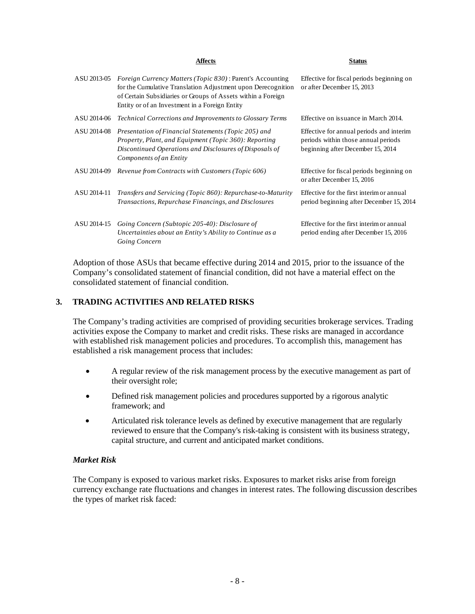|             | Affects                                                                                                                                                                                                                                             | Status                                                                                                               |
|-------------|-----------------------------------------------------------------------------------------------------------------------------------------------------------------------------------------------------------------------------------------------------|----------------------------------------------------------------------------------------------------------------------|
| ASU 2013-05 | <i>Foreign Currency Matters (Topic 830)</i> : Parent's Accounting<br>for the Cumulative Translation Adjustment upon Derecognition<br>of Certain Subsidiaries or Groups of Assets within a Foreign<br>Entity or of an Investment in a Foreign Entity | Effective for fiscal periods beginning on<br>or after December 15, 2013                                              |
| ASU 2014-06 | <b>Technical Corrections and Improvements to Glossary Terms</b>                                                                                                                                                                                     | Effective on issuance in March 2014.                                                                                 |
| ASU 2014-08 | Presentation of Financial Statements (Topic 205) and<br>Property, Plant, and Equipment (Topic 360): Reporting<br>Discontinued Operations and Disclosures of Disposals of<br>Components of an Entity                                                 | Effective for annual periods and interim<br>periods within those annual periods<br>beginning after December 15, 2014 |
| ASU 2014-09 | Revenue from Contracts with Customers (Topic 606)                                                                                                                                                                                                   | Effective for fiscal periods beginning on<br>or after December 15, 2016                                              |
| ASU 2014-11 | Transfers and Servicing (Topic 860): Repurchase-to-Maturity<br>Transactions, Repurchase Financings, and Disclosures                                                                                                                                 | Effective for the first interim or annual<br>period beginning after December 15, 2014                                |
| ASU 2014-15 | Going Concern (Subtopic 205-40): Disclosure of<br>Uncertainties about an Entity's Ability to Continue as a<br>Going Concern                                                                                                                         | Effective for the first interim or annual<br>period ending after December 15, 2016                                   |

Adoption of those ASUs that became effective during 2014 and 2015, prior to the issuance of the Company's consolidated statement of financial condition, did not have a material effect on the consolidated statement of financial condition.

### **3. TRADING ACTIVITIES AND RELATED RISKS**

The Company's trading activities are comprised of providing securities brokerage services. Trading activities expose the Company to market and credit risks. These risks are managed in accordance with established risk management policies and procedures. To accomplish this, management has established a risk management process that includes:

- A regular review of the risk management process by the executive management as part of their oversight role;
- Defined risk management policies and procedures supported by a rigorous analytic framework; and
- Articulated risk tolerance levels as defined by executive management that are regularly reviewed to ensure that the Company's risk-taking is consistent with its business strategy, capital structure, and current and anticipated market conditions.

#### *Market Risk*

The Company is exposed to various market risks. Exposures to market risks arise from foreign currency exchange rate fluctuations and changes in interest rates. The following discussion describes the types of market risk faced: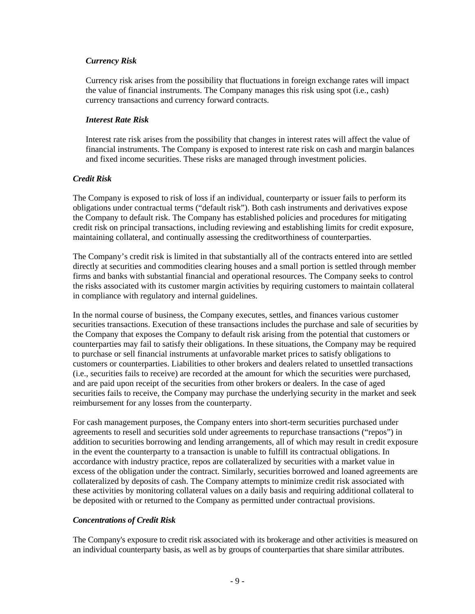#### *Currency Risk*

Currency risk arises from the possibility that fluctuations in foreign exchange rates will impact the value of financial instruments. The Company manages this risk using spot (i.e., cash) currency transactions and currency forward contracts.

#### *Interest Rate Risk*

Interest rate risk arises from the possibility that changes in interest rates will affect the value of financial instruments. The Company is exposed to interest rate risk on cash and margin balances and fixed income securities. These risks are managed through investment policies.

## *Credit Risk*

The Company is exposed to risk of loss if an individual, counterparty or issuer fails to perform its obligations under contractual terms ("default risk"). Both cash instruments and derivatives expose the Company to default risk. The Company has established policies and procedures for mitigating credit risk on principal transactions, including reviewing and establishing limits for credit exposure, maintaining collateral, and continually assessing the creditworthiness of counterparties.

The Company's credit risk is limited in that substantially all of the contracts entered into are settled directly at securities and commodities clearing houses and a small portion is settled through member firms and banks with substantial financial and operational resources. The Company seeks to control the risks associated with its customer margin activities by requiring customers to maintain collateral in compliance with regulatory and internal guidelines.

In the normal course of business, the Company executes, settles, and finances various customer securities transactions. Execution of these transactions includes the purchase and sale of securities by the Company that exposes the Company to default risk arising from the potential that customers or counterparties may fail to satisfy their obligations. In these situations, the Company may be required to purchase or sell financial instruments at unfavorable market prices to satisfy obligations to customers or counterparties. Liabilities to other brokers and dealers related to unsettled transactions (i.e., securities fails to receive) are recorded at the amount for which the securities were purchased, and are paid upon receipt of the securities from other brokers or dealers. In the case of aged securities fails to receive, the Company may purchase the underlying security in the market and seek reimbursement for any losses from the counterparty.

For cash management purposes, the Company enters into short-term securities purchased under agreements to resell and securities sold under agreements to repurchase transactions ("repos") in addition to securities borrowing and lending arrangements, all of which may result in credit exposure in the event the counterparty to a transaction is unable to fulfill its contractual obligations. In accordance with industry practice, repos are collateralized by securities with a market value in excess of the obligation under the contract. Similarly, securities borrowed and loaned agreements are collateralized by deposits of cash. The Company attempts to minimize credit risk associated with these activities by monitoring collateral values on a daily basis and requiring additional collateral to be deposited with or returned to the Company as permitted under contractual provisions.

## *Concentrations of Credit Risk*

The Company's exposure to credit risk associated with its brokerage and other activities is measured on an individual counterparty basis, as well as by groups of counterparties that share similar attributes.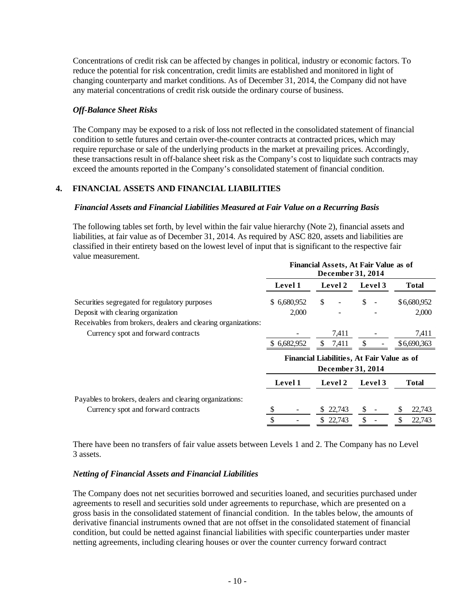Concentrations of credit risk can be affected by changes in political, industry or economic factors. To reduce the potential for risk concentration, credit limits are established and monitored in light of changing counterparty and market conditions. As of December 31, 2014, the Company did not have any material concentrations of credit risk outside the ordinary course of business.

### *Off-Balance Sheet Risks*

The Company may be exposed to a risk of loss not reflected in the consolidated statement of financial condition to settle futures and certain over-the-counter contracts at contracted prices, which may require repurchase or sale of the underlying products in the market at prevailing prices. Accordingly, these transactions result in off-balance sheet risk as the Company's cost to liquidate such contracts may exceed the amounts reported in the Company's consolidated statement of financial condition.

## **4. FINANCIAL ASSETS AND FINANCIAL LIABILITIES**

#### *Financial Assets and Financial Liabilities Measured at Fair Value on a Recurring Basis*

The following tables set forth, by level within the fair value hierarchy (Note 2), financial assets and liabilities, at fair value as of December 31, 2014. As required by ASC 820, assets and liabilities are classified in their entirety based on the lowest level of input that is significant to the respective fair value measurement.

|                                                                                                 | <b>Financial Assets, At Fair Value as of</b><br>December 31, 2014 |                                                                 |         |              |  |  |
|-------------------------------------------------------------------------------------------------|-------------------------------------------------------------------|-----------------------------------------------------------------|---------|--------------|--|--|
|                                                                                                 | Level 1                                                           | Level 2                                                         | Level 3 | <b>Total</b> |  |  |
| Securities segregated for regulatory purposes                                                   | \$6,680,952                                                       | \$                                                              | \$      | \$6,680,952  |  |  |
| Deposit with clearing organization                                                              | 2,000                                                             |                                                                 |         | 2,000        |  |  |
| Receivables from brokers, dealers and clearing organizations:                                   |                                                                   |                                                                 |         |              |  |  |
| Currency spot and forward contracts                                                             |                                                                   | 7.411                                                           |         | 7,411        |  |  |
|                                                                                                 | \$ 6,682,952                                                      | \$.<br>7,411                                                    |         | \$6,690,363  |  |  |
|                                                                                                 |                                                                   | Financial Liabilities, At Fair Value as of<br>December 31, 2014 |         |              |  |  |
|                                                                                                 | Level 1                                                           | Level 2                                                         | Level 3 | <b>Total</b> |  |  |
| Payables to brokers, dealers and clearing organizations:<br>Currency spot and forward contracts |                                                                   | 22,743<br>S.                                                    |         | 22,743       |  |  |
|                                                                                                 | ¢                                                                 | \$22,743                                                        | \$      | 22,743       |  |  |

There have been no transfers of fair value assets between Levels 1 and 2. The Company has no Level 3 assets.

#### *Netting of Financial Assets and Financial Liabilities*

The Company does not net securities borrowed and securities loaned, and securities purchased under agreements to resell and securities sold under agreements to repurchase, which are presented on a gross basis in the consolidated statement of financial condition. In the tables below, the amounts of derivative financial instruments owned that are not offset in the consolidated statement of financial condition, but could be netted against financial liabilities with specific counterparties under master netting agreements, including clearing houses or over the counter currency forward contract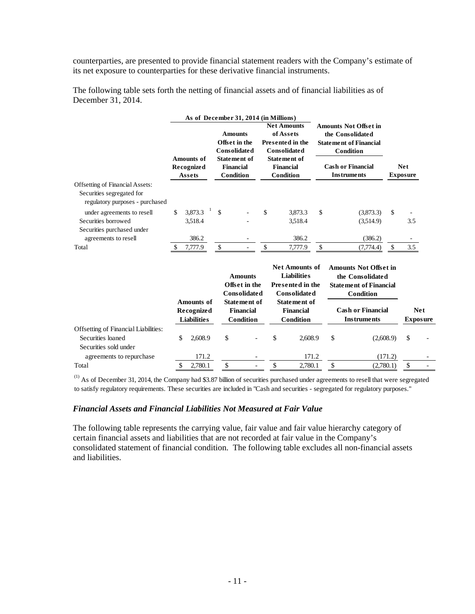counterparties, are presented to provide financial statement readers with the Company's estimate of its net exposure to counterparties for these derivative financial instruments.

|                                                                                                 | As of December 31, 2014 (in Millions)            |                                                                                                                |                                                                                                                                    |                                                                                                                                                  |         |                               |            |
|-------------------------------------------------------------------------------------------------|--------------------------------------------------|----------------------------------------------------------------------------------------------------------------|------------------------------------------------------------------------------------------------------------------------------------|--------------------------------------------------------------------------------------------------------------------------------------------------|---------|-------------------------------|------------|
|                                                                                                 | <b>Amounts of</b><br><b>Recognized</b><br>Assets | <b>Amounts</b><br>Offset in the<br><b>Consolidated</b><br><b>Statement</b> of<br><b>Financial</b><br>Condition | <b>Net Amounts</b><br>of Assets<br><b>Presented in the</b><br>Consolidated<br><b>Statement of</b><br><b>Financial</b><br>Condition | <b>Amounts Not Offset in</b><br>the Consolidated<br><b>Statement of Financial</b><br>Condition<br><b>Cash or Financial</b><br><b>Instruments</b> |         | <b>Net</b><br><b>Exposure</b> |            |
| Offsetting of Financial Assets:<br>Securities segregated for<br>regulatory purposes - purchased |                                                  |                                                                                                                |                                                                                                                                    |                                                                                                                                                  |         |                               |            |
| under agreements to resell                                                                      | \$<br>3,873.3                                    | \$                                                                                                             | \$<br>3,873.3                                                                                                                      | \$<br>(3,873,3)                                                                                                                                  | \$      |                               |            |
| Securities borrowed                                                                             | 3,518.4                                          |                                                                                                                | 3,518.4                                                                                                                            | (3,514.9)                                                                                                                                        |         | 3.5                           |            |
| Securities purchased under                                                                      |                                                  |                                                                                                                |                                                                                                                                    |                                                                                                                                                  |         |                               |            |
| agreements to resell                                                                            | 386.2                                            | ٠                                                                                                              | 386.2                                                                                                                              | (386.2)                                                                                                                                          |         |                               |            |
| Total                                                                                           | \$<br>7,777.9                                    | \$                                                                                                             | \$<br>7,777.9                                                                                                                      | \$<br>(7,774.4)                                                                                                                                  | \$      | 3.5                           |            |
|                                                                                                 |                                                  | <b>Amounts</b><br>Offset in the<br><b>Consolidated</b>                                                         | <b>Net Amounts of</b><br><b>Liabilities</b><br>Presented in the<br><b>Consolidated</b>                                             | <b>Amounts Not Offset in</b><br>the Consolidated<br><b>Statement of Financial</b><br><b>Condition</b>                                            |         |                               |            |
|                                                                                                 | <b>Amounts of</b>                                | <b>Statement of</b>                                                                                            | <b>Statement of</b>                                                                                                                |                                                                                                                                                  |         |                               |            |
|                                                                                                 | Recognized                                       | <b>Financial</b>                                                                                               | <b>Financial</b>                                                                                                                   | <b>Cash or Financial</b>                                                                                                                         |         |                               | <b>Net</b> |
|                                                                                                 | <b>Liabilities</b>                               | <b>Condition</b>                                                                                               | <b>Condition</b>                                                                                                                   | <b>Instruments</b>                                                                                                                               |         | <b>Exposure</b>               |            |
| Offsetting of Financial Liabilities:                                                            |                                                  |                                                                                                                |                                                                                                                                    |                                                                                                                                                  |         |                               |            |
| Securities loaned                                                                               | \$<br>2,608.9                                    | \$                                                                                                             | \$<br>2,608.9                                                                                                                      | \$<br>(2,608.9)                                                                                                                                  |         | \$                            |            |
| Securities sold under                                                                           |                                                  |                                                                                                                |                                                                                                                                    |                                                                                                                                                  |         |                               |            |
| agreements to repurchase                                                                        | 171.2                                            |                                                                                                                | 171.2                                                                                                                              |                                                                                                                                                  | (171.2) |                               |            |
| Total                                                                                           | \$<br>2,780.1                                    | \$                                                                                                             | \$<br>2.780.1                                                                                                                      | \$<br>(2,780.1)                                                                                                                                  |         | \$                            |            |

The following table sets forth the netting of financial assets and of financial liabilities as of December 31, 2014.

(1) As of December 31, 2014, the Company had \$3.87 billion of securities purchased under agreements to resell that were segregated to satisfy regulatory requirements. These securities are included in "Cash and securities - segregated for regulatory purposes."

#### *Financial Assets and Financial Liabilities Not Measured at Fair Value*

The following table represents the carrying value, fair value and fair value hierarchy category of certain financial assets and liabilities that are not recorded at fair value in the Company's consolidated statement of financial condition. The following table excludes all non-financial assets and liabilities.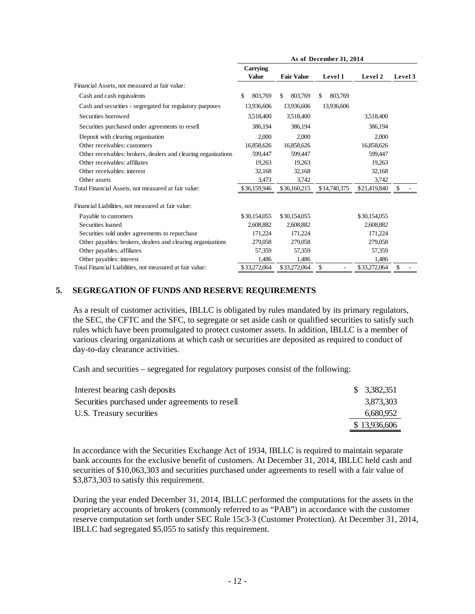|                                                                | As of December 31, 2014  |                   |               |              |         |  |
|----------------------------------------------------------------|--------------------------|-------------------|---------------|--------------|---------|--|
|                                                                | Carrying<br><b>Value</b> | <b>Fair Value</b> | Level 1       | Level 2      | Level 3 |  |
| Financial Assets, not measured at fair value:                  |                          |                   |               |              |         |  |
| Cash and cash equivalents                                      | 803.769<br>\$            | 803.769<br>\$.    | 803.769<br>\$ |              |         |  |
| Cash and securities - segregated for regulatory purposes       | 13,936,606               | 13,936,606        | 13,936,606    |              |         |  |
| Securities borrowed                                            | 3,518,400                | 3,518,400         |               | 3,518,400    |         |  |
| Securities purchased under agreements to resell                | 386,194                  | 386,194           |               | 386,194      |         |  |
| Deposit with clearing organization                             | 2,000                    | 2,000             |               | 2,000        |         |  |
| Other receivables: customers                                   | 16,858,626               | 16,858,626        |               | 16,858,626   |         |  |
| Other receivables: brokers, dealers and clearing organizations | 599,447                  | 599,447           |               | 599,447      |         |  |
| Other receivables: affiliates                                  | 19,263                   | 19,263            |               | 19,263       |         |  |
| Other receivables: interest                                    | 32,168                   | 32,168            |               | 32,168       |         |  |
| Other assets                                                   | 3,473                    | 3.742             |               | 3,742        |         |  |
| Total Financial Assets, not measured at fair value:            | \$36,159,946             | \$36,160,215      | \$14,740,375  | \$21,419,840 | \$      |  |
| Financial Liabilities, not measured at fair value:             |                          |                   |               |              |         |  |
| Payable to customers                                           | \$30,154,055             | \$30,154,055      |               | \$30,154,055 |         |  |
| Securities loaned                                              | 2.608.882                | 2,608,882         |               | 2,608,882    |         |  |
| Securities sold under agreements to repurchase                 | 171,224                  | 171,224           |               | 171,224      |         |  |
| Other payables: brokers, dealers and clearing organizations    | 279,058                  | 279,058           |               | 279,058      |         |  |
| Other payables: affiliates                                     | 57,359                   | 57,359            |               | 57,359       |         |  |
| Other payables: interest                                       | 1,486                    | 1,486             |               | 1,486        |         |  |
| Total Financial Liabilities, not measured at fair value:       | \$33,272,064             | \$33,272,064      | \$            | \$33,272,064 | \$      |  |

## **5. SEGREGATION OF FUNDS AND RESERVE REQUIREMENTS**

As a result of customer activities, IBLLC is obligated by rules mandated by its primary regulators, the SEC, the CFTC and the SFC, to segregate or set aside cash or qualified securities to satisfy such rules which have been promulgated to protect customer assets. In addition, IBLLC is a member of various clearing organizations at which cash or securities are deposited as required to conduct of day-to-day clearance activities.

Cash and securities – segregated for regulatory purposes consist of the following:

| Interest bearing cash deposits                  | \$3,382,351  |
|-------------------------------------------------|--------------|
| Securities purchased under agreements to resell | 3,873,303    |
| U.S. Treasury securities                        | 6,680,952    |
|                                                 | \$13,936,606 |

In accordance with the Securities Exchange Act of 1934, IBLLC is required to maintain separate bank accounts for the exclusive benefit of customers. At December 31, 2014, IBLLC held cash and securities of \$10,063,303 and securities purchased under agreements to resell with a fair value of \$3,873,303 to satisfy this requirement.

During the year ended December 31, 2014, IBLLC performed the computations for the assets in the proprietary accounts of brokers (commonly referred to as "PAB") in accordance with the customer reserve computation set forth under SEC Rule 15c3-3 (Customer Protection). At December 31, 2014, IBLLC had segregated \$5,055 to satisfy this requirement.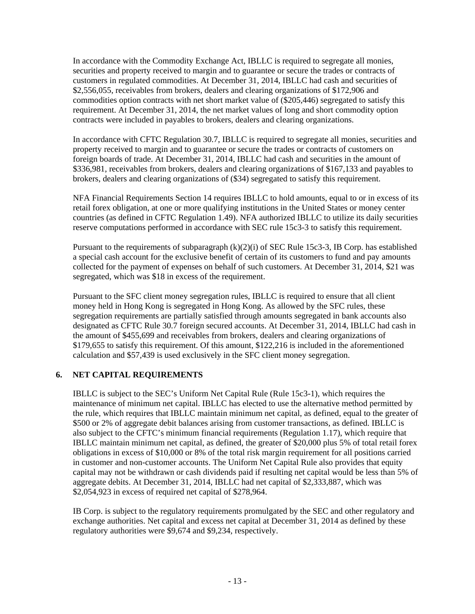In accordance with the Commodity Exchange Act, IBLLC is required to segregate all monies, securities and property received to margin and to guarantee or secure the trades or contracts of customers in regulated commodities. At December 31, 2014, IBLLC had cash and securities of \$2,556,055, receivables from brokers, dealers and clearing organizations of \$172,906 and commodities option contracts with net short market value of (\$205,446) segregated to satisfy this requirement. At December 31, 2014, the net market values of long and short commodity option contracts were included in payables to brokers, dealers and clearing organizations.

In accordance with CFTC Regulation 30.7, IBLLC is required to segregate all monies, securities and property received to margin and to guarantee or secure the trades or contracts of customers on foreign boards of trade. At December 31, 2014, IBLLC had cash and securities in the amount of \$336,981, receivables from brokers, dealers and clearing organizations of \$167,133 and payables to brokers, dealers and clearing organizations of (\$34) segregated to satisfy this requirement.

NFA Financial Requirements Section 14 requires IBLLC to hold amounts, equal to or in excess of its retail forex obligation, at one or more qualifying institutions in the United States or money center countries (as defined in CFTC Regulation 1.49). NFA authorized IBLLC to utilize its daily securities reserve computations performed in accordance with SEC rule 15c3-3 to satisfy this requirement.

Pursuant to the requirements of subparagraph  $(k)(2)(i)$  of SEC Rule 15c3-3, IB Corp. has established a special cash account for the exclusive benefit of certain of its customers to fund and pay amounts collected for the payment of expenses on behalf of such customers. At December 31, 2014, \$21 was segregated, which was \$18 in excess of the requirement.

Pursuant to the SFC client money segregation rules, IBLLC is required to ensure that all client money held in Hong Kong is segregated in Hong Kong. As allowed by the SFC rules, these segregation requirements are partially satisfied through amounts segregated in bank accounts also designated as CFTC Rule 30.7 foreign secured accounts. At December 31, 2014, IBLLC had cash in the amount of \$455,699 and receivables from brokers, dealers and clearing organizations of \$179,655 to satisfy this requirement. Of this amount, \$122,216 is included in the aforementioned calculation and \$57,439 is used exclusively in the SFC client money segregation.

## **6. NET CAPITAL REQUIREMENTS**

IBLLC is subject to the SEC's Uniform Net Capital Rule (Rule 15c3-1), which requires the maintenance of minimum net capital. IBLLC has elected to use the alternative method permitted by the rule, which requires that IBLLC maintain minimum net capital, as defined, equal to the greater of \$500 or 2% of aggregate debit balances arising from customer transactions, as defined. IBLLC is also subject to the CFTC's minimum financial requirements (Regulation 1.17), which require that IBLLC maintain minimum net capital, as defined, the greater of \$20,000 plus 5% of total retail forex obligations in excess of \$10,000 or 8% of the total risk margin requirement for all positions carried in customer and non-customer accounts. The Uniform Net Capital Rule also provides that equity capital may not be withdrawn or cash dividends paid if resulting net capital would be less than 5% of aggregate debits. At December 31, 2014, IBLLC had net capital of \$2,333,887, which was \$2,054,923 in excess of required net capital of \$278,964.

IB Corp. is subject to the regulatory requirements promulgated by the SEC and other regulatory and exchange authorities. Net capital and excess net capital at December 31, 2014 as defined by these regulatory authorities were \$9,674 and \$9,234, respectively.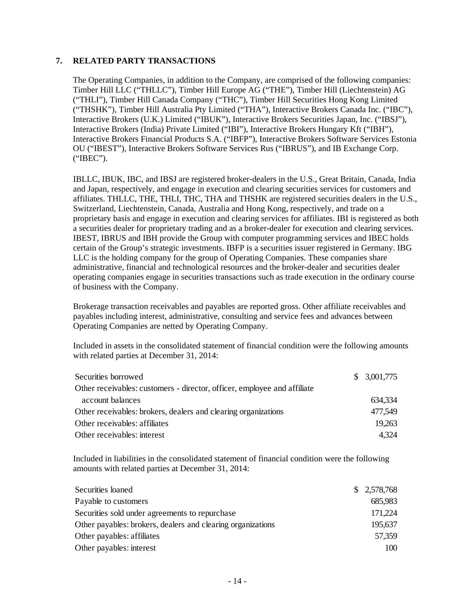#### **7. RELATED PARTY TRANSACTIONS**

The Operating Companies, in addition to the Company, are comprised of the following companies: Timber Hill LLC ("THLLC"), Timber Hill Europe AG ("THE"), Timber Hill (Liechtenstein) AG ("THLI"), Timber Hill Canada Company ("THC"), Timber Hill Securities Hong Kong Limited ("THSHK"), Timber Hill Australia Pty Limited ("THA"), Interactive Brokers Canada Inc. ("IBC"), Interactive Brokers (U.K.) Limited ("IBUK"), Interactive Brokers Securities Japan, Inc. ("IBSJ"), Interactive Brokers (India) Private Limited ("IBI"), Interactive Brokers Hungary Kft ("IBH"), Interactive Brokers Financial Products S.A. ("IBFP"), Interactive Brokers Software Services Estonia OU ("IBEST"), Interactive Brokers Software Services Rus ("IBRUS"), and IB Exchange Corp. ("IBEC").

IBLLC, IBUK, IBC, and IBSJ are registered broker-dealers in the U.S., Great Britain, Canada, India and Japan, respectively, and engage in execution and clearing securities services for customers and affiliates. THLLC, THE, THLI, THC, THA and THSHK are registered securities dealers in the U.S., Switzerland, Liechtenstein, Canada, Australia and Hong Kong, respectively, and trade on a proprietary basis and engage in execution and clearing services for affiliates. IBI is registered as both a securities dealer for proprietary trading and as a broker-dealer for execution and clearing services. IBEST, IBRUS and IBH provide the Group with computer programming services and IBEC holds certain of the Group's strategic investments. IBFP is a securities issuer registered in Germany. IBG LLC is the holding company for the group of Operating Companies. These companies share administrative, financial and technological resources and the broker-dealer and securities dealer operating companies engage in securities transactions such as trade execution in the ordinary course of business with the Company.

Brokerage transaction receivables and payables are reported gross. Other affiliate receivables and payables including interest, administrative, consulting and service fees and advances between Operating Companies are netted by Operating Company.

Included in assets in the consolidated statement of financial condition were the following amounts with related parties at December 31, 2014:

| Securities borrowed                                                      | \$3,001,775 |
|--------------------------------------------------------------------------|-------------|
| Other receivables: customers - director, officer, employee and affiliate |             |
| account balances                                                         | 634,334     |
| Other receivables: brokers, dealers and clearing organizations           | 477,549     |
| Other receivables: affiliates                                            | 19,263      |
| Other receivables: interest                                              | 4.324       |

Included in liabilities in the consolidated statement of financial condition were the following amounts with related parties at December 31, 2014:

| Securities loaned                                           | \$2,578,768 |
|-------------------------------------------------------------|-------------|
| Payable to customers                                        | 685,983     |
| Securities sold under agreements to repurchase              | 171,224     |
| Other payables: brokers, dealers and clearing organizations | 195,637     |
| Other payables: affiliates                                  | 57,359      |
| Other payables: interest                                    | 100         |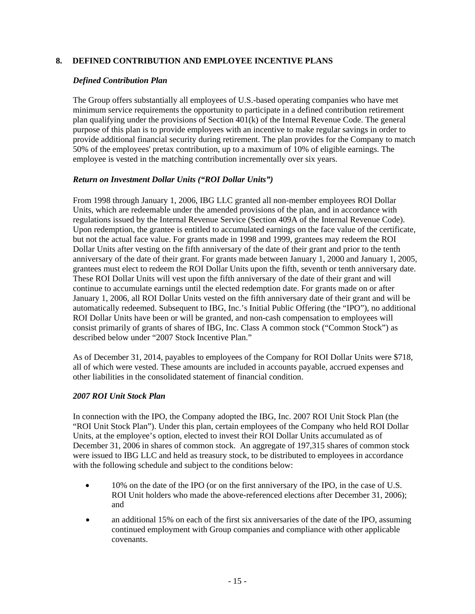### **8. DEFINED CONTRIBUTION AND EMPLOYEE INCENTIVE PLANS**

#### *Defined Contribution Plan*

The Group offers substantially all employees of U.S.-based operating companies who have met minimum service requirements the opportunity to participate in a defined contribution retirement plan qualifying under the provisions of Section 401(k) of the Internal Revenue Code. The general purpose of this plan is to provide employees with an incentive to make regular savings in order to provide additional financial security during retirement. The plan provides for the Company to match 50% of the employees' pretax contribution, up to a maximum of 10% of eligible earnings. The employee is vested in the matching contribution incrementally over six years.

### *Return on Investment Dollar Units ("ROI Dollar Units")*

From 1998 through January 1, 2006, IBG LLC granted all non-member employees ROI Dollar Units, which are redeemable under the amended provisions of the plan, and in accordance with regulations issued by the Internal Revenue Service (Section 409A of the Internal Revenue Code). Upon redemption, the grantee is entitled to accumulated earnings on the face value of the certificate, but not the actual face value. For grants made in 1998 and 1999, grantees may redeem the ROI Dollar Units after vesting on the fifth anniversary of the date of their grant and prior to the tenth anniversary of the date of their grant. For grants made between January 1, 2000 and January 1, 2005, grantees must elect to redeem the ROI Dollar Units upon the fifth, seventh or tenth anniversary date. These ROI Dollar Units will vest upon the fifth anniversary of the date of their grant and will continue to accumulate earnings until the elected redemption date. For grants made on or after January 1, 2006, all ROI Dollar Units vested on the fifth anniversary date of their grant and will be automatically redeemed. Subsequent to IBG, Inc.'s Initial Public Offering (the "IPO"), no additional ROI Dollar Units have been or will be granted, and non-cash compensation to employees will consist primarily of grants of shares of IBG, Inc. Class A common stock ("Common Stock") as described below under "2007 Stock Incentive Plan."

As of December 31, 2014, payables to employees of the Company for ROI Dollar Units were \$718, all of which were vested. These amounts are included in accounts payable, accrued expenses and other liabilities in the consolidated statement of financial condition.

## *2007 ROI Unit Stock Plan*

In connection with the IPO, the Company adopted the IBG, Inc. 2007 ROI Unit Stock Plan (the "ROI Unit Stock Plan"). Under this plan, certain employees of the Company who held ROI Dollar Units, at the employee's option, elected to invest their ROI Dollar Units accumulated as of December 31, 2006 in shares of common stock. An aggregate of 197,315 shares of common stock were issued to IBG LLC and held as treasury stock, to be distributed to employees in accordance with the following schedule and subject to the conditions below:

- 10% on the date of the IPO (or on the first anniversary of the IPO, in the case of U.S. ROI Unit holders who made the above-referenced elections after December 31, 2006); and
- an additional 15% on each of the first six anniversaries of the date of the IPO, assuming continued employment with Group companies and compliance with other applicable covenants.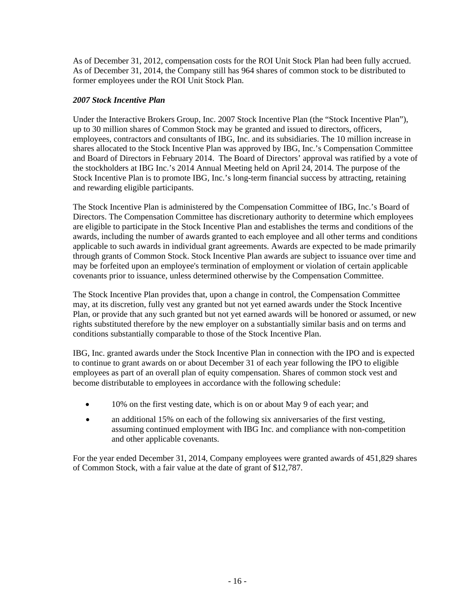As of December 31, 2012, compensation costs for the ROI Unit Stock Plan had been fully accrued. As of December 31, 2014, the Company still has 964 shares of common stock to be distributed to former employees under the ROI Unit Stock Plan.

## *2007 Stock Incentive Plan*

Under the Interactive Brokers Group, Inc. 2007 Stock Incentive Plan (the "Stock Incentive Plan"), up to 30 million shares of Common Stock may be granted and issued to directors, officers, employees, contractors and consultants of IBG, Inc. and its subsidiaries. The 10 million increase in shares allocated to the Stock Incentive Plan was approved by IBG, Inc.'s Compensation Committee and Board of Directors in February 2014. The Board of Directors' approval was ratified by a vote of the stockholders at IBG Inc.'s 2014 Annual Meeting held on April 24, 2014. The purpose of the Stock Incentive Plan is to promote IBG, Inc.'s long-term financial success by attracting, retaining and rewarding eligible participants.

The Stock Incentive Plan is administered by the Compensation Committee of IBG, Inc.'s Board of Directors. The Compensation Committee has discretionary authority to determine which employees are eligible to participate in the Stock Incentive Plan and establishes the terms and conditions of the awards, including the number of awards granted to each employee and all other terms and conditions applicable to such awards in individual grant agreements. Awards are expected to be made primarily through grants of Common Stock. Stock Incentive Plan awards are subject to issuance over time and may be forfeited upon an employee's termination of employment or violation of certain applicable covenants prior to issuance, unless determined otherwise by the Compensation Committee.

The Stock Incentive Plan provides that, upon a change in control, the Compensation Committee may, at its discretion, fully vest any granted but not yet earned awards under the Stock Incentive Plan, or provide that any such granted but not yet earned awards will be honored or assumed, or new rights substituted therefore by the new employer on a substantially similar basis and on terms and conditions substantially comparable to those of the Stock Incentive Plan.

IBG, Inc. granted awards under the Stock Incentive Plan in connection with the IPO and is expected to continue to grant awards on or about December 31 of each year following the IPO to eligible employees as part of an overall plan of equity compensation. Shares of common stock vest and become distributable to employees in accordance with the following schedule:

- 10% on the first vesting date, which is on or about May 9 of each year; and
- an additional 15% on each of the following six anniversaries of the first vesting, assuming continued employment with IBG Inc. and compliance with non-competition and other applicable covenants.

For the year ended December 31, 2014, Company employees were granted awards of 451,829 shares of Common Stock, with a fair value at the date of grant of \$12,787.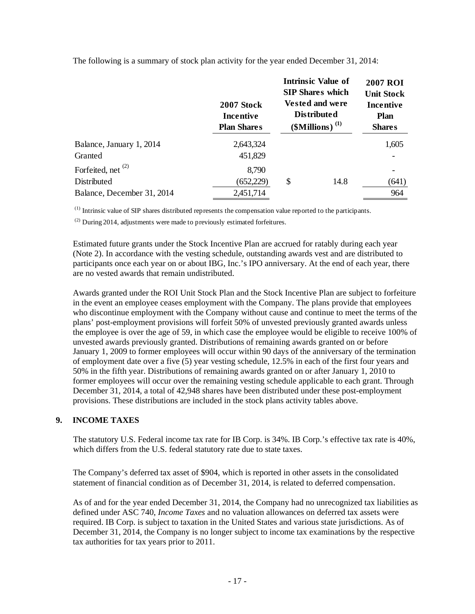|                               | 2007 Stock<br>Incentive<br><b>Plan Shares</b> | <b>Intrinsic Value of</b><br><b>SIP Shares which</b><br><b>Vested and were</b><br><b>Distributed</b><br>$$$ Millions) <sup>(1)</sup> | <b>2007 ROI</b><br><b>Unit Stock</b><br>Incentive<br><b>Plan</b><br><b>Shares</b> |
|-------------------------------|-----------------------------------------------|--------------------------------------------------------------------------------------------------------------------------------------|-----------------------------------------------------------------------------------|
| Balance, January 1, 2014      | 2,643,324                                     |                                                                                                                                      | 1,605                                                                             |
| Granted                       | 451,829                                       |                                                                                                                                      |                                                                                   |
| Forfeited, net <sup>(2)</sup> | 8,790                                         |                                                                                                                                      |                                                                                   |
| Distributed                   | (652, 229)                                    | \$<br>14.8                                                                                                                           | (641)                                                                             |
| Balance, December 31, 2014    | 2,451,714                                     |                                                                                                                                      | 964                                                                               |

The following is a summary of stock plan activity for the year ended December 31, 2014:

(1) Intrinsic value of SIP shares distributed represents the compensation value reported to the participants.

 $^{(2)}$  During 2014, adjustments were made to previously estimated forfeitures.

Estimated future grants under the Stock Incentive Plan are accrued for ratably during each year (Note 2). In accordance with the vesting schedule, outstanding awards vest and are distributed to participants once each year on or about IBG, Inc.'s IPO anniversary. At the end of each year, there are no vested awards that remain undistributed.

Awards granted under the ROI Unit Stock Plan and the Stock Incentive Plan are subject to forfeiture in the event an employee ceases employment with the Company. The plans provide that employees who discontinue employment with the Company without cause and continue to meet the terms of the plans' post-employment provisions will forfeit 50% of unvested previously granted awards unless the employee is over the age of 59, in which case the employee would be eligible to receive 100% of unvested awards previously granted. Distributions of remaining awards granted on or before January 1, 2009 to former employees will occur within 90 days of the anniversary of the termination of employment date over a five (5) year vesting schedule, 12.5% in each of the first four years and 50% in the fifth year. Distributions of remaining awards granted on or after January 1, 2010 to former employees will occur over the remaining vesting schedule applicable to each grant. Through December 31, 2014, a total of 42,948 shares have been distributed under these post-employment provisions. These distributions are included in the stock plans activity tables above.

## **9. INCOME TAXES**

The statutory U.S. Federal income tax rate for IB Corp. is 34%. IB Corp.'s effective tax rate is 40%, which differs from the U.S. federal statutory rate due to state taxes.

The Company's deferred tax asset of \$904, which is reported in other assets in the consolidated statement of financial condition as of December 31, 2014, is related to deferred compensation.

As of and for the year ended December 31, 2014, the Company had no unrecognized tax liabilities as defined under ASC 740, *Income Taxes* and no valuation allowances on deferred tax assets were required. IB Corp. is subject to taxation in the United States and various state jurisdictions. As of December 31, 2014, the Company is no longer subject to income tax examinations by the respective tax authorities for tax years prior to 2011.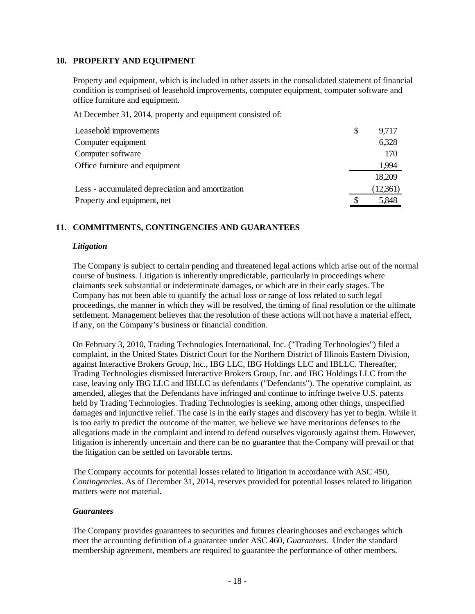#### **10. PROPERTY AND EQUIPMENT**

Property and equipment, which is included in other assets in the consolidated statement of financial condition is comprised of leasehold improvements, computer equipment, computer software and office furniture and equipment.

At December 31, 2014, property and equipment consisted of:

| Leasehold improvements                           | \$<br>9,717 |
|--------------------------------------------------|-------------|
| Computer equipment                               | 6,328       |
| Computer software                                | 170         |
| Office furniture and equipment                   | 1,994       |
|                                                  | 18,209      |
| Less - accumulated depreciation and amortization | (12,361)    |
| Property and equipment, net                      | 5,848       |

## **11. COMMITMENTS, CONTINGENCIES AND GUARANTEES**

### *Litigation*

The Company is subject to certain pending and threatened legal actions which arise out of the normal course of business. Litigation is inherently unpredictable, particularly in proceedings where claimants seek substantial or indeterminate damages, or which are in their early stages. The Company has not been able to quantify the actual loss or range of loss related to such legal proceedings, the manner in which they will be resolved, the timing of final resolution or the ultimate settlement. Management believes that the resolution of these actions will not have a material effect, if any, on the Company's business or financial condition.

On February 3, 2010, Trading Technologies International, Inc. ("Trading Technologies") filed a complaint, in the United States District Court for the Northern District of Illinois Eastern Division, against Interactive Brokers Group, Inc., IBG LLC, IBG Holdings LLC and IBLLC. Thereafter, Trading Technologies dismissed Interactive Brokers Group, Inc. and IBG Holdings LLC from the case, leaving only IBG LLC and IBLLC as defendants ("Defendants"). The operative complaint, as amended, alleges that the Defendants have infringed and continue to infringe twelve U.S. patents held by Trading Technologies. Trading Technologies is seeking, among other things, unspecified damages and injunctive relief. The case is in the early stages and discovery has yet to begin. While it is too early to predict the outcome of the matter, we believe we have meritorious defenses to the allegations made in the complaint and intend to defend ourselves vigorously against them. However, litigation is inherently uncertain and there can be no guarantee that the Company will prevail or that the litigation can be settled on favorable terms.

The Company accounts for potential losses related to litigation in accordance with ASC 450, *Contingencies*. As of December 31, 2014, reserves provided for potential losses related to litigation matters were not material.

#### *Guarantees*

The Company provides guarantees to securities and futures clearinghouses and exchanges which meet the accounting definition of a guarantee under ASC 460, *Guarantees.* Under the standard membership agreement, members are required to guarantee the performance of other members.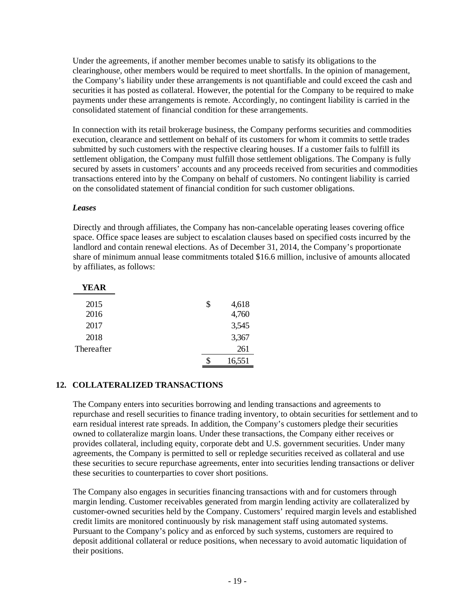Under the agreements, if another member becomes unable to satisfy its obligations to the clearinghouse, other members would be required to meet shortfalls. In the opinion of management, the Company's liability under these arrangements is not quantifiable and could exceed the cash and securities it has posted as collateral. However, the potential for the Company to be required to make payments under these arrangements is remote. Accordingly, no contingent liability is carried in the consolidated statement of financial condition for these arrangements.

In connection with its retail brokerage business, the Company performs securities and commodities execution, clearance and settlement on behalf of its customers for whom it commits to settle trades submitted by such customers with the respective clearing houses. If a customer fails to fulfill its settlement obligation, the Company must fulfill those settlement obligations. The Company is fully secured by assets in customers' accounts and any proceeds received from securities and commodities transactions entered into by the Company on behalf of customers. No contingent liability is carried on the consolidated statement of financial condition for such customer obligations.

#### *Leases*

Directly and through affiliates, the Company has non-cancelable operating leases covering office space. Office space leases are subject to escalation clauses based on specified costs incurred by the landlord and contain renewal elections. As of December 31, 2014, the Company's proportionate share of minimum annual lease commitments totaled \$16.6 million, inclusive of amounts allocated by affiliates, as follows:

| YEAR       |              |
|------------|--------------|
| 2015       | \$<br>4,618  |
| 2016       | 4,760        |
| 2017       | 3,545        |
| 2018       | 3,367        |
| Thereafter | 261          |
|            | \$<br>16,551 |

#### **12. COLLATERALIZED TRANSACTIONS**

The Company enters into securities borrowing and lending transactions and agreements to repurchase and resell securities to finance trading inventory, to obtain securities for settlement and to earn residual interest rate spreads. In addition, the Company's customers pledge their securities owned to collateralize margin loans. Under these transactions, the Company either receives or provides collateral, including equity, corporate debt and U.S. government securities. Under many agreements, the Company is permitted to sell or repledge securities received as collateral and use these securities to secure repurchase agreements, enter into securities lending transactions or deliver these securities to counterparties to cover short positions.

The Company also engages in securities financing transactions with and for customers through margin lending. Customer receivables generated from margin lending activity are collateralized by customer-owned securities held by the Company. Customers' required margin levels and established credit limits are monitored continuously by risk management staff using automated systems. Pursuant to the Company's policy and as enforced by such systems, customers are required to deposit additional collateral or reduce positions, when necessary to avoid automatic liquidation of their positions.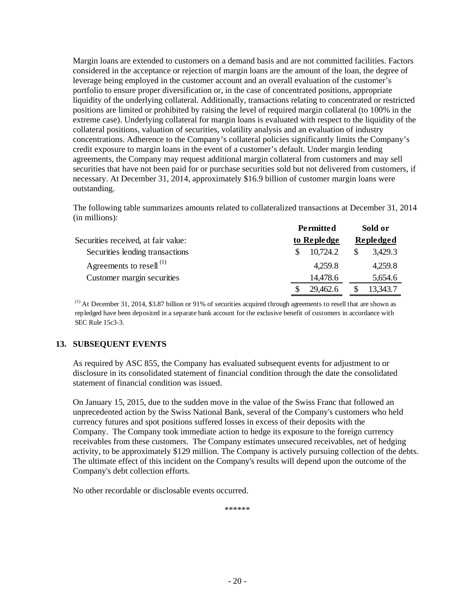Margin loans are extended to customers on a demand basis and are not committed facilities. Factors considered in the acceptance or rejection of margin loans are the amount of the loan, the degree of leverage being employed in the customer account and an overall evaluation of the customer's portfolio to ensure proper diversification or, in the case of concentrated positions, appropriate liquidity of the underlying collateral. Additionally, transactions relating to concentrated or restricted positions are limited or prohibited by raising the level of required margin collateral (to 100% in the extreme case). Underlying collateral for margin loans is evaluated with respect to the liquidity of the collateral positions, valuation of securities, volatility analysis and an evaluation of industry concentrations. Adherence to the Company's collateral policies significantly limits the Company's credit exposure to margin loans in the event of a customer's default. Under margin lending agreements, the Company may request additional margin collateral from customers and may sell securities that have not been paid for or purchase securities sold but not delivered from customers, if necessary. At December 31, 2014, approximately \$16.9 billion of customer margin loans were outstanding.

The following table summarizes amounts related to collateralized transactions at December 31, 2014 (in millions):

|                                     | <b>Permitted</b> | Sold or   |
|-------------------------------------|------------------|-----------|
| Securities received, at fair value: | to Repledge      | Repledged |
| Securities lending transactions     | 10,724.2         | 3,429.3   |
| Agreements to resell <sup>(1)</sup> | 4,259.8          | 4,259.8   |
| Customer margin securities          | 14,478.6         | 5,654.6   |
|                                     | 29,462.6         | 13,343.7  |

 $<sup>(1)</sup>$  At December 31, 2014, \$3.87 billion or 91% of securities acquired through agreements to resell that are shown as</sup> repledged have been deposited in a separate bank account for the exclusive benefit of customers in accordance with SEC Rule 15c3-3.

## **13. SUBSEQUENT EVENTS**

As required by ASC 855, the Company has evaluated subsequent events for adjustment to or disclosure in its consolidated statement of financial condition through the date the consolidated statement of financial condition was issued.

On January 15, 2015, due to the sudden move in the value of the Swiss Franc that followed an unprecedented action by the Swiss National Bank, several of the Company's customers who held currency futures and spot positions suffered losses in excess of their deposits with the Company. The Company took immediate action to hedge its exposure to the foreign currency receivables from these customers. The Company estimates unsecured receivables, net of hedging activity, to be approximately \$129 million. The Company is actively pursuing collection of the debts. The ultimate effect of this incident on the Company's results will depend upon the outcome of the Company's debt collection efforts.

No other recordable or disclosable events occurred.

\*\*\*\*\*\*